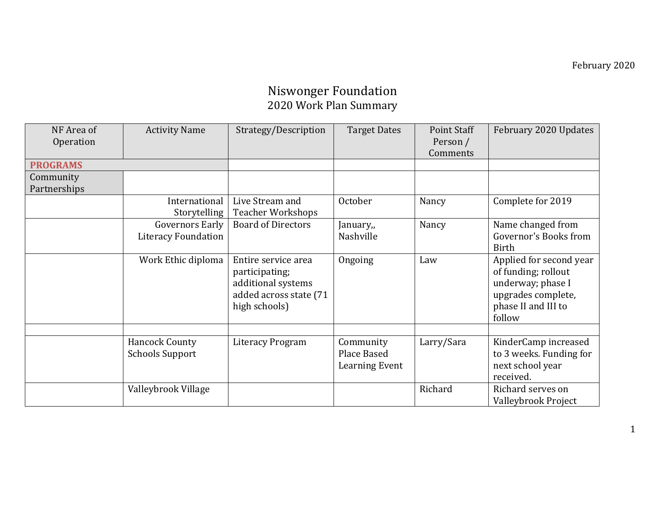## Niswonger Foundation 2020 Work Plan Summary

| NF Area of      | <b>Activity Name</b>       | Strategy/Description      | <b>Target Dates</b>   | Point Staff | February 2020 Updates   |
|-----------------|----------------------------|---------------------------|-----------------------|-------------|-------------------------|
| Operation       |                            |                           |                       | Person /    |                         |
|                 |                            |                           |                       | Comments    |                         |
| <b>PROGRAMS</b> |                            |                           |                       |             |                         |
| Community       |                            |                           |                       |             |                         |
| Partnerships    |                            |                           |                       |             |                         |
|                 | International              | Live Stream and           | October               | Nancy       | Complete for 2019       |
|                 | Storytelling               | <b>Teacher Workshops</b>  |                       |             |                         |
|                 | <b>Governors Early</b>     | <b>Board of Directors</b> | January,,             | Nancy       | Name changed from       |
|                 | <b>Literacy Foundation</b> |                           | Nashville             |             | Governor's Books from   |
|                 |                            |                           |                       |             | <b>Birth</b>            |
|                 | Work Ethic diploma         | Entire service area       | Ongoing               | Law         | Applied for second year |
|                 |                            | participating;            |                       |             | of funding; rollout     |
|                 |                            | additional systems        |                       |             | underway; phase I       |
|                 |                            | added across state (71    |                       |             | upgrades complete,      |
|                 |                            | high schools)             |                       |             | phase II and III to     |
|                 |                            |                           |                       |             | follow                  |
|                 |                            |                           |                       |             |                         |
|                 | <b>Hancock County</b>      | <b>Literacy Program</b>   | Community             | Larry/Sara  | KinderCamp increased    |
|                 | <b>Schools Support</b>     |                           | Place Based           |             | to 3 weeks. Funding for |
|                 |                            |                           | <b>Learning Event</b> |             | next school year        |
|                 |                            |                           |                       |             | received.               |
|                 | Valleybrook Village        |                           |                       | Richard     | Richard serves on       |
|                 |                            |                           |                       |             | Valleybrook Project     |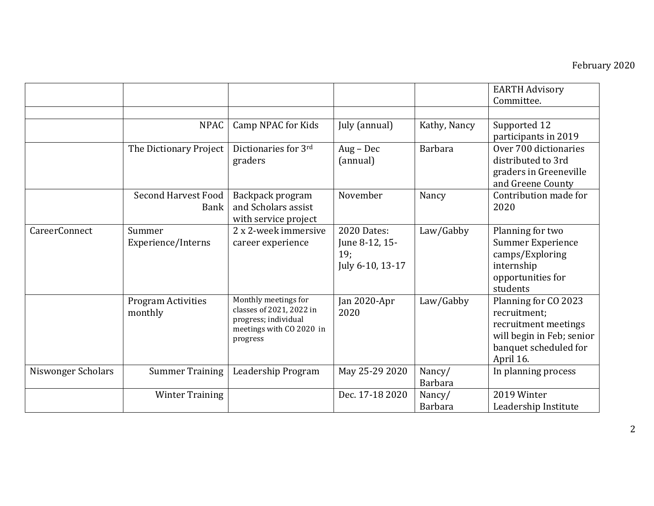|                    |                                           |                                                                                                                  |                                                                 |                          | <b>EARTH Advisory</b><br>Committee.                                                                                             |
|--------------------|-------------------------------------------|------------------------------------------------------------------------------------------------------------------|-----------------------------------------------------------------|--------------------------|---------------------------------------------------------------------------------------------------------------------------------|
|                    | <b>NPAC</b>                               | Camp NPAC for Kids                                                                                               | July (annual)                                                   | Kathy, Nancy             | Supported 12<br>participants in 2019                                                                                            |
|                    | The Dictionary Project                    | Dictionaries for 3rd<br>graders                                                                                  | Aug - Dec<br>(annual)                                           | <b>Barbara</b>           | Over 700 dictionaries<br>distributed to 3rd<br>graders in Greeneville<br>and Greene County                                      |
|                    | <b>Second Harvest Food</b><br><b>Bank</b> | Backpack program<br>and Scholars assist<br>with service project                                                  | November                                                        | Nancy                    | Contribution made for<br>2020                                                                                                   |
| CareerConnect      | Summer<br>Experience/Interns              | 2 x 2-week immersive<br>career experience                                                                        | <b>2020 Dates:</b><br>June 8-12, 15-<br>19;<br>July 6-10, 13-17 | Law/Gabby                | Planning for two<br><b>Summer Experience</b><br>camps/Exploring<br>internship<br>opportunities for<br>students                  |
|                    | <b>Program Activities</b><br>monthly      | Monthly meetings for<br>classes of 2021, 2022 in<br>progress; individual<br>meetings with CO 2020 in<br>progress | Jan 2020-Apr<br>2020                                            | Law/Gabby                | Planning for CO 2023<br>recruitment;<br>recruitment meetings<br>will begin in Feb; senior<br>banquet scheduled for<br>April 16. |
| Niswonger Scholars | <b>Summer Training</b>                    | Leadership Program                                                                                               | May 25-29 2020                                                  | Nancy/<br><b>Barbara</b> | In planning process                                                                                                             |
|                    | <b>Winter Training</b>                    |                                                                                                                  | Dec. 17-18 2020                                                 | Nancy/<br><b>Barbara</b> | 2019 Winter<br>Leadership Institute                                                                                             |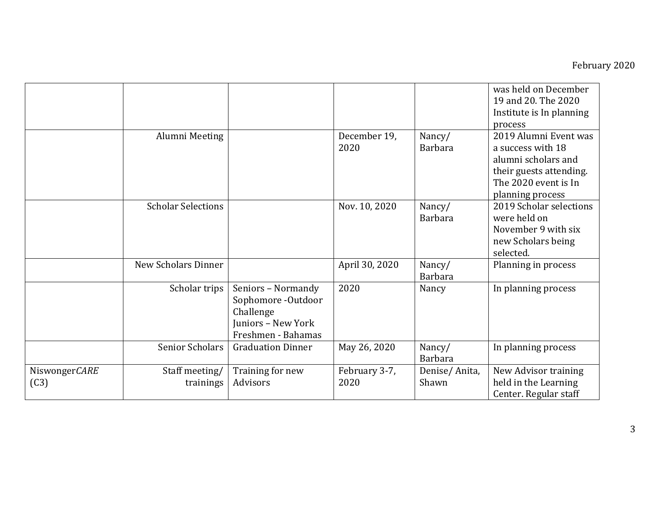|                       |                             |                                                                                                   |                       |                          | was held on December<br>19 and 20. The 2020<br>Institute is In planning<br>process                                                       |
|-----------------------|-----------------------------|---------------------------------------------------------------------------------------------------|-----------------------|--------------------------|------------------------------------------------------------------------------------------------------------------------------------------|
|                       | Alumni Meeting              |                                                                                                   | December 19,<br>2020  | Nancy/<br><b>Barbara</b> | 2019 Alumni Event was<br>a success with 18<br>alumni scholars and<br>their guests attending.<br>The 2020 event is In<br>planning process |
|                       | <b>Scholar Selections</b>   |                                                                                                   | Nov. 10, 2020         | Nancy/<br><b>Barbara</b> | 2019 Scholar selections<br>were held on<br>November 9 with six<br>new Scholars being<br>selected.                                        |
|                       | New Scholars Dinner         |                                                                                                   | April 30, 2020        | Nancy/<br><b>Barbara</b> | Planning in process                                                                                                                      |
|                       | Scholar trips               | Seniors - Normandy<br>Sophomore -Outdoor<br>Challenge<br>Juniors - New York<br>Freshmen - Bahamas | 2020                  | Nancy                    | In planning process                                                                                                                      |
|                       | <b>Senior Scholars</b>      | <b>Graduation Dinner</b>                                                                          | May 26, 2020          | Nancy/<br><b>Barbara</b> | In planning process                                                                                                                      |
| NiswongerCARE<br>(C3) | Staff meeting/<br>trainings | Training for new<br>Advisors                                                                      | February 3-7,<br>2020 | Denise/Anita,<br>Shawn   | New Advisor training<br>held in the Learning<br>Center. Regular staff                                                                    |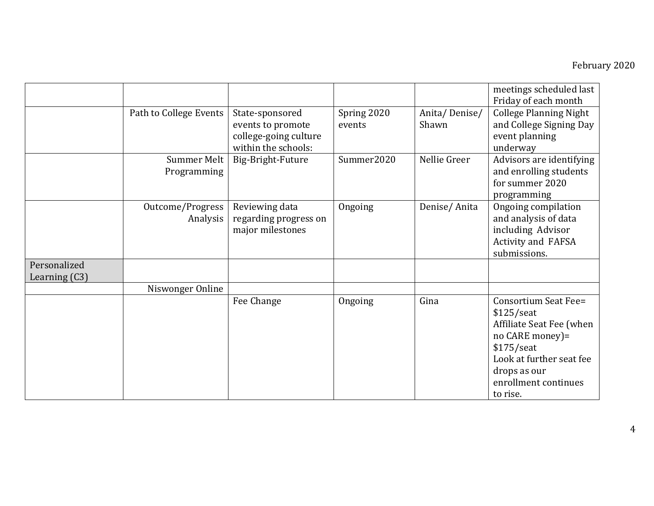## February 2020

|                                 |                              |                                                                                      |                       |                        | meetings scheduled last<br>Friday of each month                                                                                                                                     |
|---------------------------------|------------------------------|--------------------------------------------------------------------------------------|-----------------------|------------------------|-------------------------------------------------------------------------------------------------------------------------------------------------------------------------------------|
|                                 | Path to College Events       | State-sponsored<br>events to promote<br>college-going culture<br>within the schools: | Spring 2020<br>events | Anita/Denise/<br>Shawn | <b>College Planning Night</b><br>and College Signing Day<br>event planning<br>underway                                                                                              |
|                                 | Summer Melt<br>Programming   | Big-Bright-Future                                                                    | Summer2020            | Nellie Greer           | Advisors are identifying<br>and enrolling students<br>for summer 2020<br>programming                                                                                                |
|                                 | Outcome/Progress<br>Analysis | Reviewing data<br>regarding progress on<br>major milestones                          | Ongoing               | Denise/Anita           | Ongoing compilation<br>and analysis of data<br>including Advisor<br><b>Activity and FAFSA</b><br>submissions.                                                                       |
| Personalized<br>Learning $(C3)$ |                              |                                                                                      |                       |                        |                                                                                                                                                                                     |
|                                 | Niswonger Online             |                                                                                      |                       |                        |                                                                                                                                                                                     |
|                                 |                              | Fee Change                                                                           | Ongoing               | Gina                   | Consortium Seat Fee=<br>$$125/$ seat<br>Affiliate Seat Fee (when<br>no CARE money)=<br>$$175/$ seat<br>Look at further seat fee<br>drops as our<br>enrollment continues<br>to rise. |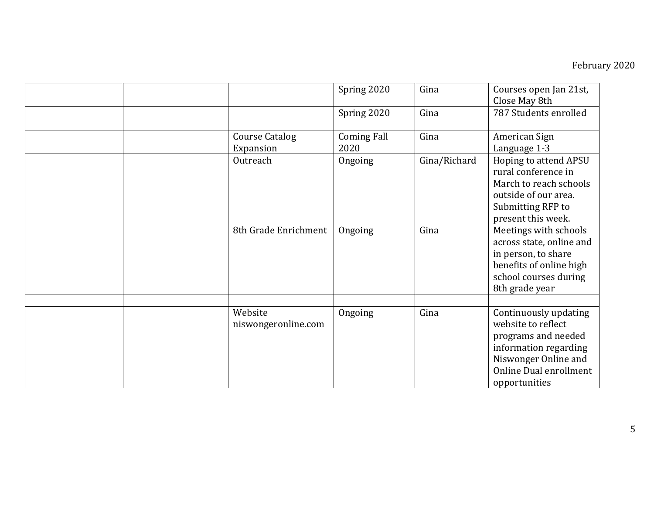## February 2020

|  |                                | Spring 2020                | Gina         | Courses open Jan 21st,<br>Close May 8th                                                                                                                        |
|--|--------------------------------|----------------------------|--------------|----------------------------------------------------------------------------------------------------------------------------------------------------------------|
|  |                                | Spring 2020                | Gina         | 787 Students enrolled                                                                                                                                          |
|  | Course Catalog<br>Expansion    | <b>Coming Fall</b><br>2020 | Gina         | American Sign<br>Language 1-3                                                                                                                                  |
|  | Outreach                       | Ongoing                    | Gina/Richard | Hoping to attend APSU<br>rural conference in<br>March to reach schools<br>outside of our area.<br>Submitting RFP to<br>present this week.                      |
|  | 8th Grade Enrichment           | Ongoing                    | Gina         | Meetings with schools<br>across state, online and<br>in person, to share<br>benefits of online high<br>school courses during<br>8th grade year                 |
|  | Website<br>niswongeronline.com | Ongoing                    | Gina         | Continuously updating<br>website to reflect<br>programs and needed<br>information regarding<br>Niswonger Online and<br>Online Dual enrollment<br>opportunities |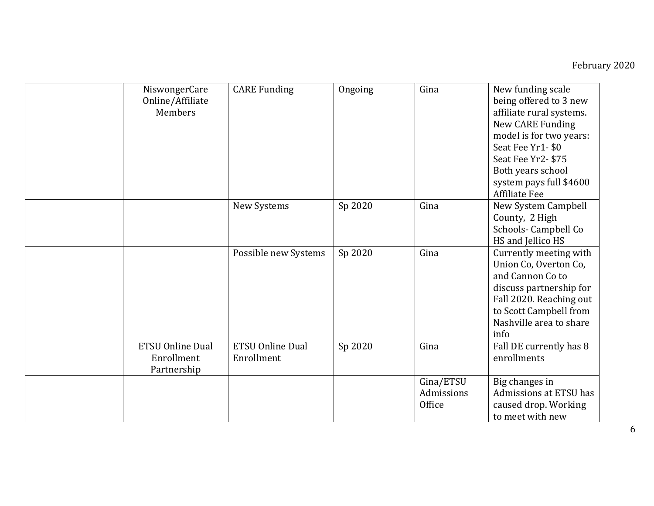| NiswongerCare<br>Online/Affiliate<br>Members         | <b>CARE Funding</b>                   | Ongoing | Gina                              | New funding scale<br>being offered to 3 new<br>affiliate rural systems.<br>New CARE Funding<br>model is for two years:<br>Seat Fee Yr1-\$0<br>Seat Fee Yr2-\$75<br>Both years school<br>system pays full \$4600<br><b>Affiliate Fee</b> |
|------------------------------------------------------|---------------------------------------|---------|-----------------------------------|-----------------------------------------------------------------------------------------------------------------------------------------------------------------------------------------------------------------------------------------|
|                                                      | New Systems                           | Sp 2020 | Gina                              | New System Campbell<br>County, 2 High<br>Schools-Campbell Co<br>HS and Jellico HS                                                                                                                                                       |
|                                                      | Possible new Systems                  | Sp 2020 | Gina                              | Currently meeting with<br>Union Co, Overton Co,<br>and Cannon Co to<br>discuss partnership for<br>Fall 2020. Reaching out<br>to Scott Campbell from<br>Nashville area to share<br>info                                                  |
| <b>ETSU Online Dual</b><br>Enrollment<br>Partnership | <b>ETSU Online Dual</b><br>Enrollment | Sp 2020 | Gina                              | Fall DE currently has 8<br>enrollments                                                                                                                                                                                                  |
|                                                      |                                       |         | Gina/ETSU<br>Admissions<br>Office | Big changes in<br>Admissions at ETSU has<br>caused drop. Working<br>to meet with new                                                                                                                                                    |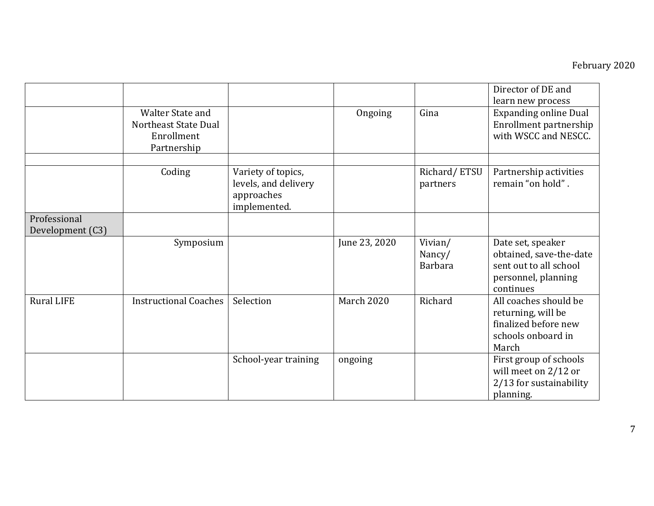|                   |                              |                      |               |                | Director of DE and<br>learn new process |
|-------------------|------------------------------|----------------------|---------------|----------------|-----------------------------------------|
|                   | <b>Walter State and</b>      |                      | Ongoing       | Gina           | <b>Expanding online Dual</b>            |
|                   | Northeast State Dual         |                      |               |                | Enrollment partnership                  |
|                   | Enrollment                   |                      |               |                | with WSCC and NESCC.                    |
|                   | Partnership                  |                      |               |                |                                         |
|                   | Coding                       | Variety of topics,   |               | Richard/ETSU   | Partnership activities                  |
|                   |                              | levels, and delivery |               | partners       | remain "on hold".                       |
|                   |                              | approaches           |               |                |                                         |
|                   |                              | implemented.         |               |                |                                         |
| Professional      |                              |                      |               |                |                                         |
| Development (C3)  |                              |                      |               |                |                                         |
|                   | Symposium                    |                      | June 23, 2020 | Vivian/        | Date set, speaker                       |
|                   |                              |                      |               | Nancy/         | obtained, save-the-date                 |
|                   |                              |                      |               | <b>Barbara</b> | sent out to all school                  |
|                   |                              |                      |               |                | personnel, planning                     |
|                   |                              |                      |               |                | continues                               |
| <b>Rural LIFE</b> | <b>Instructional Coaches</b> | Selection            | March 2020    | Richard        | All coaches should be                   |
|                   |                              |                      |               |                | returning, will be                      |
|                   |                              |                      |               |                | finalized before new                    |
|                   |                              |                      |               |                | schools onboard in                      |
|                   |                              |                      |               |                | March                                   |
|                   |                              | School-year training | ongoing       |                | First group of schools                  |
|                   |                              |                      |               |                | will meet on $2/12$ or                  |
|                   |                              |                      |               |                | 2/13 for sustainability                 |
|                   |                              |                      |               |                | planning.                               |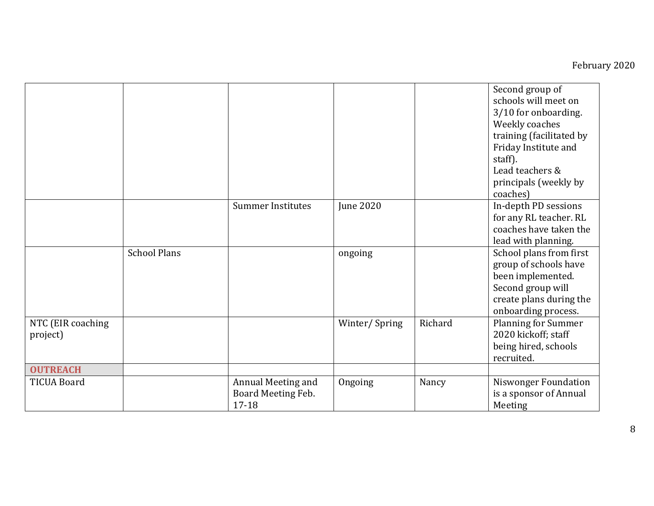|                                       |                     |                                                   |                  |         | Second group of<br>schools will meet on<br>3/10 for onboarding.<br>Weekly coaches<br>training (facilitated by<br>Friday Institute and<br>staff).<br>Lead teachers &<br>principals (weekly by<br>coaches) |
|---------------------------------------|---------------------|---------------------------------------------------|------------------|---------|----------------------------------------------------------------------------------------------------------------------------------------------------------------------------------------------------------|
|                                       |                     | <b>Summer Institutes</b>                          | <b>June 2020</b> |         | In-depth PD sessions<br>for any RL teacher. RL<br>coaches have taken the<br>lead with planning.                                                                                                          |
|                                       | <b>School Plans</b> |                                                   | ongoing          |         | School plans from first<br>group of schools have<br>been implemented.<br>Second group will<br>create plans during the<br>onboarding process.                                                             |
| NTC (EIR coaching<br>project)         |                     |                                                   | Winter/Spring    | Richard | <b>Planning for Summer</b><br>2020 kickoff; staff<br>being hired, schools<br>recruited.                                                                                                                  |
| <b>OUTREACH</b><br><b>TICUA Board</b> |                     | Annual Meeting and<br>Board Meeting Feb.<br>17-18 | Ongoing          | Nancy   | <b>Niswonger Foundation</b><br>is a sponsor of Annual<br>Meeting                                                                                                                                         |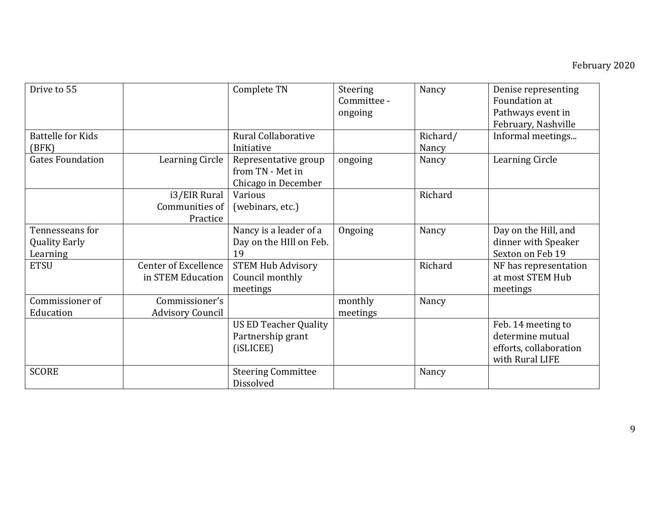| Drive to 55              |                             | Complete TN                                                     | Steering<br>Committee -<br>ongoing | Nancy    | Denise representing<br>Foundation at<br>Pathways event in<br>February, Nashville    |
|--------------------------|-----------------------------|-----------------------------------------------------------------|------------------------------------|----------|-------------------------------------------------------------------------------------|
| <b>Battelle for Kids</b> |                             | Rural Collaborative                                             |                                    | Richard/ | Informal meetings                                                                   |
| (BFK)                    |                             | Initiative                                                      |                                    | Nancy    |                                                                                     |
| <b>Gates Foundation</b>  | Learning Circle             | Representative group<br>from TN - Met in<br>Chicago in December | ongoing                            | Nancy    | <b>Learning Circle</b>                                                              |
|                          | i3/EIR Rural                | Various                                                         |                                    | Richard  |                                                                                     |
|                          | Communities of              | (webinars, etc.)                                                |                                    |          |                                                                                     |
|                          | Practice                    |                                                                 |                                    |          |                                                                                     |
| Tennesseans for          |                             | Nancy is a leader of a                                          | Ongoing                            | Nancy    | Day on the Hill, and                                                                |
| <b>Quality Early</b>     |                             | Day on the HIll on Feb.                                         |                                    |          | dinner with Speaker                                                                 |
| Learning                 |                             | 19                                                              |                                    |          | Sexton on Feb 19                                                                    |
| <b>ETSU</b>              | <b>Center of Excellence</b> | <b>STEM Hub Advisory</b>                                        |                                    | Richard  | NF has representation                                                               |
|                          | in STEM Education           | Council monthly                                                 |                                    |          | at most STEM Hub                                                                    |
|                          |                             | meetings                                                        |                                    |          | meetings                                                                            |
| Commissioner of          | Commissioner's              |                                                                 | monthly                            | Nancy    |                                                                                     |
| Education                | <b>Advisory Council</b>     |                                                                 | meetings                           |          |                                                                                     |
|                          |                             | <b>US ED Teacher Quality</b><br>Partnership grant<br>(iSLICEE)  |                                    |          | Feb. 14 meeting to<br>determine mutual<br>efforts, collaboration<br>with Rural LIFE |
| <b>SCORE</b>             |                             | <b>Steering Committee</b><br>Dissolved                          |                                    | Nancy    |                                                                                     |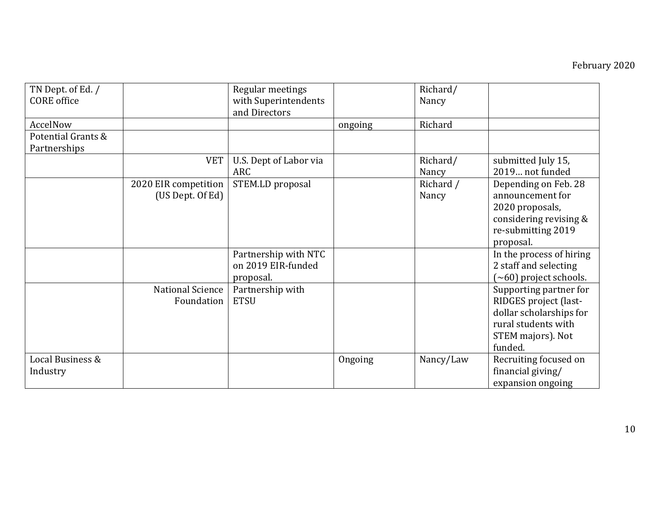| TN Dept. of Ed. /<br><b>CORE</b> office |                                          | Regular meetings<br>with Superintendents<br>and Directors |         | Richard/<br>Nancy  |                                                                                                                                   |
|-----------------------------------------|------------------------------------------|-----------------------------------------------------------|---------|--------------------|-----------------------------------------------------------------------------------------------------------------------------------|
| AccelNow                                |                                          |                                                           | ongoing | Richard            |                                                                                                                                   |
| Potential Grants &<br>Partnerships      |                                          |                                                           |         |                    |                                                                                                                                   |
|                                         | <b>VET</b>                               | U.S. Dept of Labor via<br>ARC                             |         | Richard/<br>Nancy  | submitted July 15,<br>2019 not funded                                                                                             |
|                                         | 2020 EIR competition<br>(US Dept. Of Ed) | STEM.LD proposal                                          |         | Richard /<br>Nancy | Depending on Feb. 28<br>announcement for<br>2020 proposals,<br>considering revising &<br>re-submitting 2019<br>proposal.          |
|                                         |                                          | Partnership with NTC<br>on 2019 EIR-funded<br>proposal.   |         |                    | In the process of hiring<br>2 staff and selecting<br>$(\sim 60)$ project schools.                                                 |
|                                         | National Science<br>Foundation           | Partnership with<br><b>ETSU</b>                           |         |                    | Supporting partner for<br>RIDGES project (last-<br>dollar scholarships for<br>rural students with<br>STEM majors). Not<br>funded. |
| Local Business &<br>Industry            |                                          |                                                           | Ongoing | Nancy/Law          | Recruiting focused on<br>financial giving/<br>expansion ongoing                                                                   |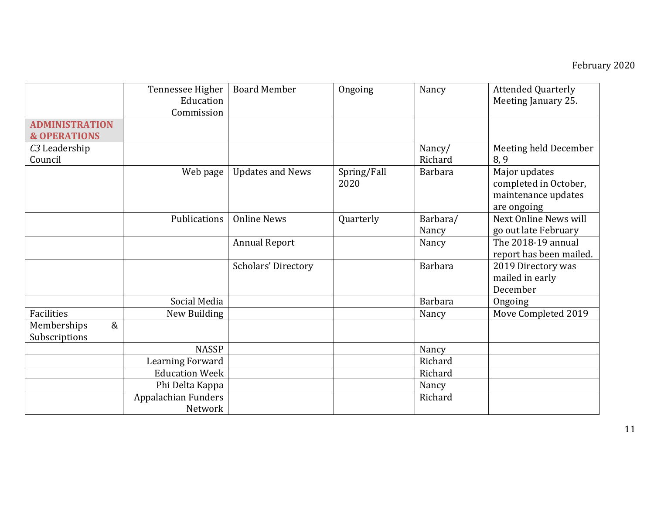|                                                  | Tennessee Higher<br>Education  | <b>Board Member</b>        | Ongoing             | Nancy             | <b>Attended Quarterly</b><br>Meeting January 25.                             |
|--------------------------------------------------|--------------------------------|----------------------------|---------------------|-------------------|------------------------------------------------------------------------------|
|                                                  | Commission                     |                            |                     |                   |                                                                              |
| <b>ADMINISTRATION</b><br><b>&amp; OPERATIONS</b> |                                |                            |                     |                   |                                                                              |
| C <sub>3</sub> Leadership<br>Council             |                                |                            |                     | Nancy/<br>Richard | Meeting held December<br>8, 9                                                |
|                                                  | Web page                       | <b>Updates and News</b>    | Spring/Fall<br>2020 | <b>Barbara</b>    | Major updates<br>completed in October,<br>maintenance updates<br>are ongoing |
|                                                  | Publications                   | <b>Online News</b>         | Quarterly           | Barbara/<br>Nancy | Next Online News will<br>go out late February                                |
|                                                  |                                | <b>Annual Report</b>       |                     | Nancy             | The 2018-19 annual<br>report has been mailed.                                |
|                                                  |                                | <b>Scholars' Directory</b> |                     | <b>Barbara</b>    | 2019 Directory was<br>mailed in early<br>December                            |
|                                                  | Social Media                   |                            |                     | <b>Barbara</b>    | Ongoing                                                                      |
| <b>Facilities</b>                                | New Building                   |                            |                     | Nancy             | Move Completed 2019                                                          |
| $\&$<br>Memberships<br>Subscriptions             |                                |                            |                     |                   |                                                                              |
|                                                  | <b>NASSP</b>                   |                            |                     | Nancy             |                                                                              |
|                                                  | <b>Learning Forward</b>        |                            |                     | Richard           |                                                                              |
|                                                  | <b>Education Week</b>          |                            |                     | Richard           |                                                                              |
|                                                  | Phi Delta Kappa                |                            |                     | Nancy             |                                                                              |
|                                                  | Appalachian Funders<br>Network |                            |                     | Richard           |                                                                              |